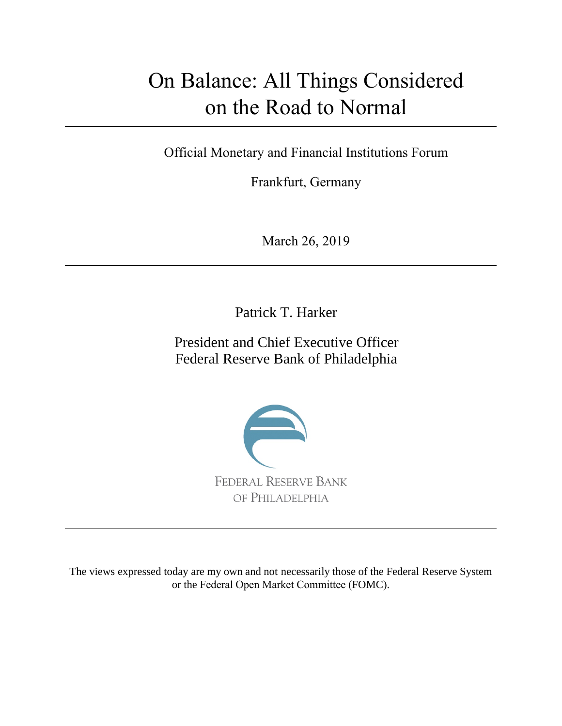# On Balance: All Things Considered on the Road to Normal

Official Monetary and Financial Institutions Forum

Frankfurt, Germany

March 26, 2019

Patrick T. Harker

President and Chief Executive Officer Federal Reserve Bank of Philadelphia



The views expressed today are my own and not necessarily those of the Federal Reserve System or the Federal Open Market Committee (FOMC).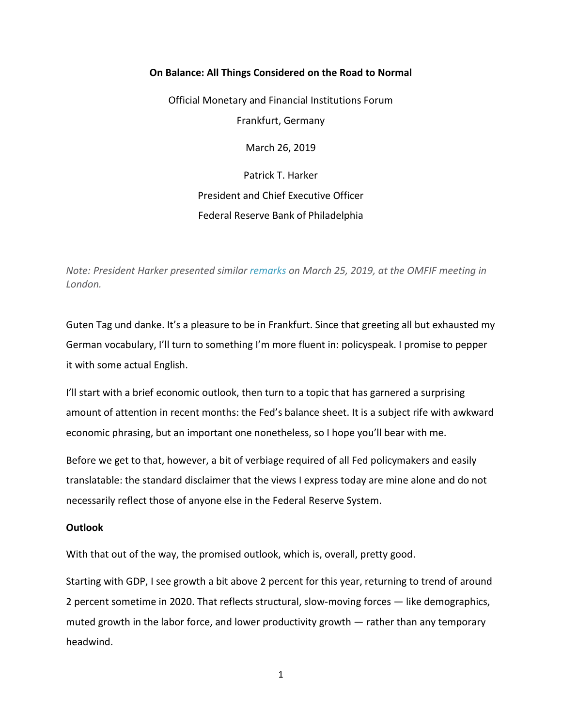# **On Balance: All Things Considered on the Road to Normal**

Official Monetary and Financial Institutions Forum Frankfurt, Germany March 26, 2019 Patrick T. Harker President and Chief Executive Officer

Federal Reserve Bank of Philadelphia

*Note: President Harker presented similar [remarks](https://philadelphiafed.org/publications/speeches/harker/2019/03-25-19-official-monetary-and-financial-institutions-forum) on March 25, 2019, at the OMFIF meeting in London.*

Guten Tag und danke. It's a pleasure to be in Frankfurt. Since that greeting all but exhausted my German vocabulary, I'll turn to something I'm more fluent in: policyspeak. I promise to pepper it with some actual English.

I'll start with a brief economic outlook, then turn to a topic that has garnered a surprising amount of attention in recent months: the Fed's balance sheet. It is a subject rife with awkward economic phrasing, but an important one nonetheless, so I hope you'll bear with me.

Before we get to that, however, a bit of verbiage required of all Fed policymakers and easily translatable: the standard disclaimer that the views I express today are mine alone and do not necessarily reflect those of anyone else in the Federal Reserve System.

## **Outlook**

With that out of the way, the promised outlook, which is, overall, pretty good.

Starting with GDP, I see growth a bit above 2 percent for this year, returning to trend of around 2 percent sometime in 2020. That reflects structural, slow-moving forces — like demographics, muted growth in the labor force, and lower productivity growth — rather than any temporary headwind.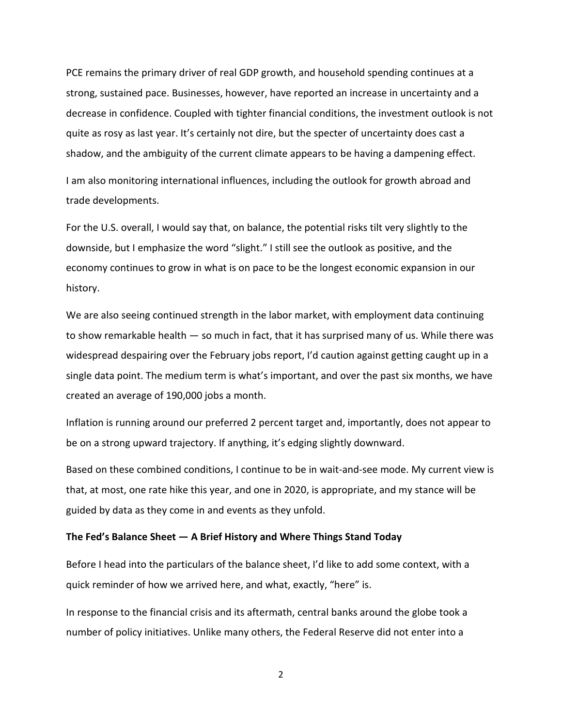PCE remains the primary driver of real GDP growth, and household spending continues at a strong, sustained pace. Businesses, however, have reported an increase in uncertainty and a decrease in confidence. Coupled with tighter financial conditions, the investment outlook is not quite as rosy as last year. It's certainly not dire, but the specter of uncertainty does cast a shadow, and the ambiguity of the current climate appears to be having a dampening effect.

I am also monitoring international influences, including the outlook for growth abroad and trade developments.

For the U.S. overall, I would say that, on balance, the potential risks tilt very slightly to the downside, but I emphasize the word "slight." I still see the outlook as positive, and the economy continues to grow in what is on pace to be the longest economic expansion in our history.

We are also seeing continued strength in the labor market, with employment data continuing to show remarkable health — so much in fact, that it has surprised many of us. While there was widespread despairing over the February jobs report, I'd caution against getting caught up in a single data point. The medium term is what's important, and over the past six months, we have created an average of 190,000 jobs a month.

Inflation is running around our preferred 2 percent target and, importantly, does not appear to be on a strong upward trajectory. If anything, it's edging slightly downward.

Based on these combined conditions, I continue to be in wait-and-see mode. My current view is that, at most, one rate hike this year, and one in 2020, is appropriate, and my stance will be guided by data as they come in and events as they unfold.

#### **The Fed's Balance Sheet — A Brief History and Where Things Stand Today**

Before I head into the particulars of the balance sheet, I'd like to add some context, with a quick reminder of how we arrived here, and what, exactly, "here" is.

In response to the financial crisis and its aftermath, central banks around the globe took a number of policy initiatives. Unlike many others, the Federal Reserve did not enter into a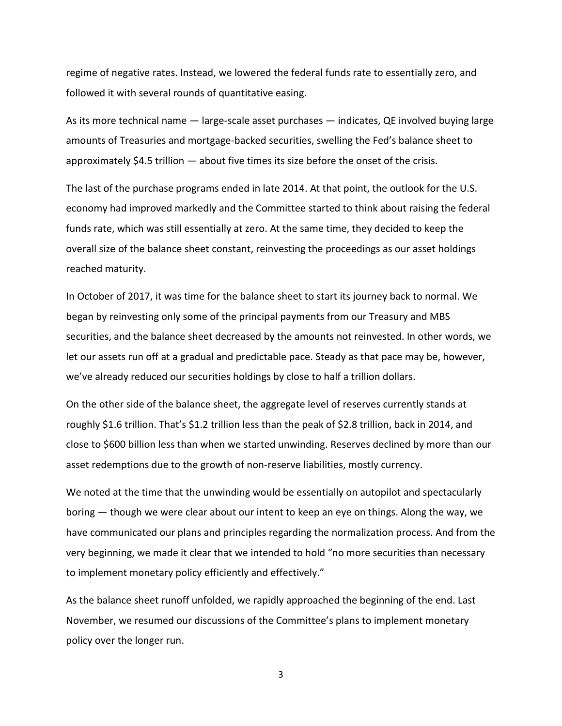regime of negative rates. Instead, we lowered the federal funds rate to essentially zero, and followed it with several rounds of quantitative easing.

As its more technical name — large-scale asset purchases — indicates, QE involved buying large amounts of Treasuries and mortgage-backed securities, swelling the Fed's balance sheet to approximately \$4.5 trillion — about five times its size before the onset of the crisis.

The last of the purchase programs ended in late 2014. At that point, the outlook for the U.S. economy had improved markedly and the Committee started to think about raising the federal funds rate, which was still essentially at zero. At the same time, they decided to keep the overall size of the balance sheet constant, reinvesting the proceedings as our asset holdings reached maturity.

In October of 2017, it was time for the balance sheet to start its journey back to normal. We began by reinvesting only some of the principal payments from our Treasury and MBS securities, and the balance sheet decreased by the amounts not reinvested. In other words, we let our assets run off at a gradual and predictable pace. Steady as that pace may be, however, we've already reduced our securities holdings by close to half a trillion dollars.

On the other side of the balance sheet, the aggregate level of reserves currently stands at roughly \$1.6 trillion. That's \$1.2 trillion less than the peak of \$2.8 trillion, back in 2014, and close to \$600 billion less than when we started unwinding. Reserves declined by more than our asset redemptions due to the growth of non-reserve liabilities, mostly currency.

We noted at the time that the unwinding would be essentially on autopilot and spectacularly boring — though we were clear about our intent to keep an eye on things. Along the way, we have communicated our plans and principles regarding the normalization process. And from the very beginning, we made it clear that we intended to hold "no more securities than necessary to implement monetary policy efficiently and effectively."

As the balance sheet runoff unfolded, we rapidly approached the beginning of the end. Last November, we resumed our discussions of the Committee's plans to implement monetary policy over the longer run.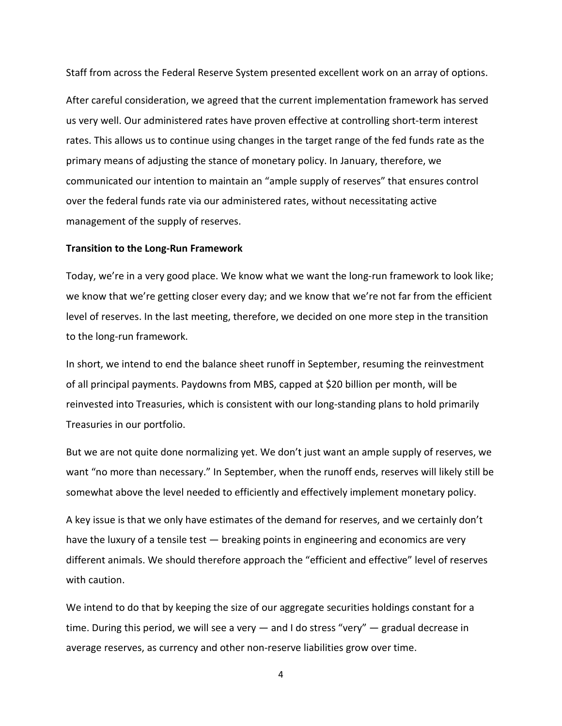Staff from across the Federal Reserve System presented excellent work on an array of options.

After careful consideration, we agreed that the current implementation framework has served us very well. Our administered rates have proven effective at controlling short-term interest rates. This allows us to continue using changes in the target range of the fed funds rate as the primary means of adjusting the stance of monetary policy. In January, therefore, we communicated our intention to maintain an "ample supply of reserves" that ensures control over the federal funds rate via our administered rates, without necessitating active management of the supply of reserves.

#### **Transition to the Long-Run Framework**

Today, we're in a very good place. We know what we want the long-run framework to look like; we know that we're getting closer every day; and we know that we're not far from the efficient level of reserves. In the last meeting, therefore, we decided on one more step in the transition to the long-run framework.

In short, we intend to end the balance sheet runoff in September, resuming the reinvestment of all principal payments. Paydowns from MBS, capped at \$20 billion per month, will be reinvested into Treasuries, which is consistent with our long-standing plans to hold primarily Treasuries in our portfolio.

But we are not quite done normalizing yet. We don't just want an ample supply of reserves, we want "no more than necessary." In September, when the runoff ends, reserves will likely still be somewhat above the level needed to efficiently and effectively implement monetary policy.

A key issue is that we only have estimates of the demand for reserves, and we certainly don't have the luxury of a tensile test — breaking points in engineering and economics are very different animals. We should therefore approach the "efficient and effective" level of reserves with caution.

We intend to do that by keeping the size of our aggregate securities holdings constant for a time. During this period, we will see a very — and I do stress "very" — gradual decrease in average reserves, as currency and other non-reserve liabilities grow over time.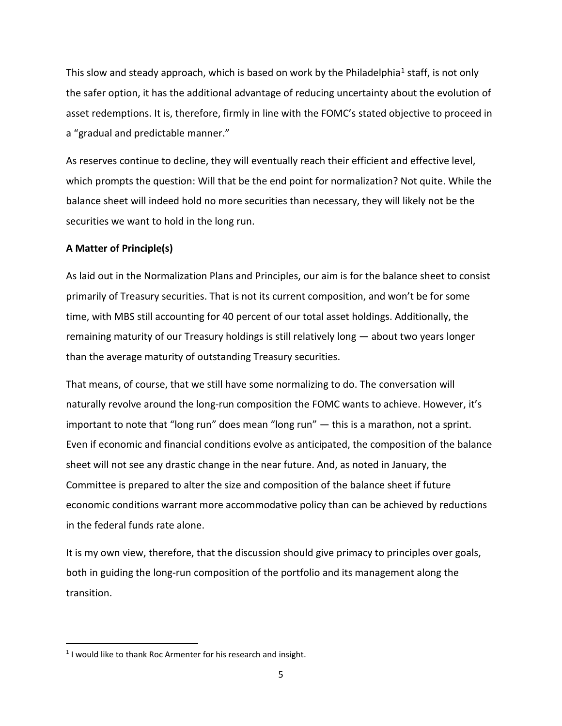This slow and steady approach, which is based on work by the Philadelphia<sup>[1](#page-5-0)</sup> staff, is not only the safer option, it has the additional advantage of reducing uncertainty about the evolution of asset redemptions. It is, therefore, firmly in line with the FOMC's stated objective to proceed in a "gradual and predictable manner."

As reserves continue to decline, they will eventually reach their efficient and effective level, which prompts the question: Will that be the end point for normalization? Not quite. While the balance sheet will indeed hold no more securities than necessary, they will likely not be the securities we want to hold in the long run.

## **A Matter of Principle(s)**

As laid out in the Normalization Plans and Principles, our aim is for the balance sheet to consist primarily of Treasury securities. That is not its current composition, and won't be for some time, with MBS still accounting for 40 percent of our total asset holdings. Additionally, the remaining maturity of our Treasury holdings is still relatively long — about two years longer than the average maturity of outstanding Treasury securities.

That means, of course, that we still have some normalizing to do. The conversation will naturally revolve around the long-run composition the FOMC wants to achieve. However, it's important to note that "long run" does mean "long run" — this is a marathon, not a sprint. Even if economic and financial conditions evolve as anticipated, the composition of the balance sheet will not see any drastic change in the near future. And, as noted in January, the Committee is prepared to alter the size and composition of the balance sheet if future economic conditions warrant more accommodative policy than can be achieved by reductions in the federal funds rate alone.

It is my own view, therefore, that the discussion should give primacy to principles over goals, both in guiding the long-run composition of the portfolio and its management along the transition.

<span id="page-5-0"></span> $1$  I would like to thank Roc Armenter for his research and insight.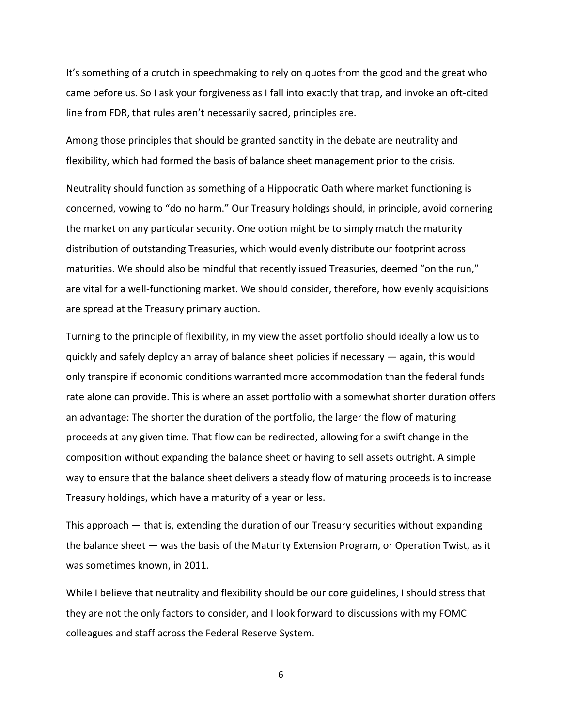It's something of a crutch in speechmaking to rely on quotes from the good and the great who came before us. So I ask your forgiveness as I fall into exactly that trap, and invoke an oft-cited line from FDR, that rules aren't necessarily sacred, principles are.

Among those principles that should be granted sanctity in the debate are neutrality and flexibility, which had formed the basis of balance sheet management prior to the crisis.

Neutrality should function as something of a Hippocratic Oath where market functioning is concerned, vowing to "do no harm." Our Treasury holdings should, in principle, avoid cornering the market on any particular security. One option might be to simply match the maturity distribution of outstanding Treasuries, which would evenly distribute our footprint across maturities. We should also be mindful that recently issued Treasuries, deemed "on the run," are vital for a well-functioning market. We should consider, therefore, how evenly acquisitions are spread at the Treasury primary auction.

Turning to the principle of flexibility, in my view the asset portfolio should ideally allow us to quickly and safely deploy an array of balance sheet policies if necessary — again, this would only transpire if economic conditions warranted more accommodation than the federal funds rate alone can provide. This is where an asset portfolio with a somewhat shorter duration offers an advantage: The shorter the duration of the portfolio, the larger the flow of maturing proceeds at any given time. That flow can be redirected, allowing for a swift change in the composition without expanding the balance sheet or having to sell assets outright. A simple way to ensure that the balance sheet delivers a steady flow of maturing proceeds is to increase Treasury holdings, which have a maturity of a year or less.

This approach — that is, extending the duration of our Treasury securities without expanding the balance sheet — was the basis of the Maturity Extension Program, or Operation Twist, as it was sometimes known, in 2011.

While I believe that neutrality and flexibility should be our core guidelines, I should stress that they are not the only factors to consider, and I look forward to discussions with my FOMC colleagues and staff across the Federal Reserve System.